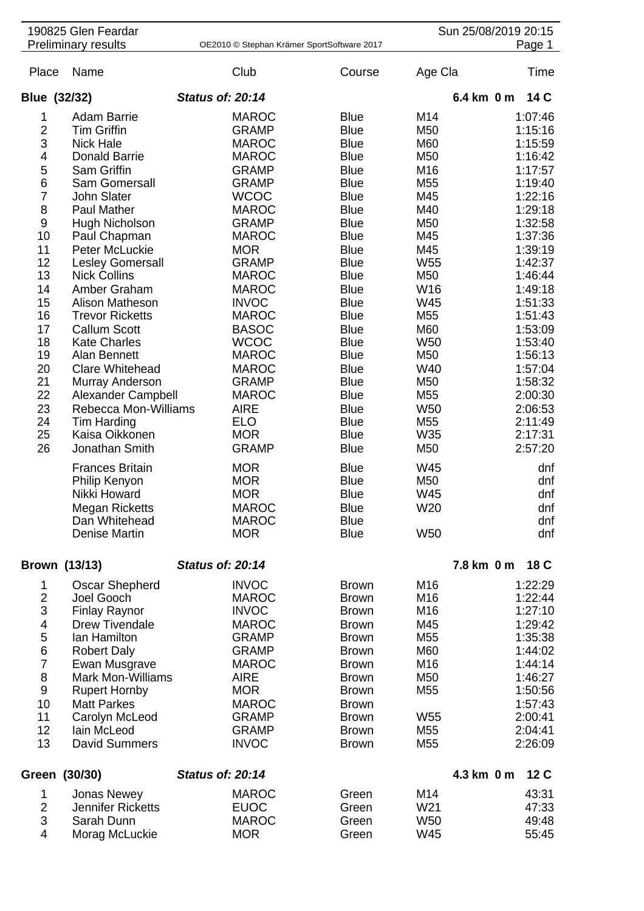| 190825 Glen Feardar<br><b>Preliminary results</b> |                                     | OE2010 © Stephan Krämer SportSoftware 2017 |                              | Sun 25/08/2019 20:15<br>Page 1     |                               |  |
|---------------------------------------------------|-------------------------------------|--------------------------------------------|------------------------------|------------------------------------|-------------------------------|--|
| Place                                             | Name                                | Club                                       | Course                       | Age Cla                            | Time                          |  |
| Blue (32/32)                                      |                                     | <b>Status of: 20:14</b>                    |                              |                                    | 6.4 km 0 m<br>14 C            |  |
| 1                                                 | <b>Adam Barrie</b>                  | <b>MAROC</b>                               | <b>Blue</b>                  | M14                                | 1:07:46                       |  |
| $\overline{2}$                                    | <b>Tim Griffin</b>                  | <b>GRAMP</b>                               | <b>Blue</b>                  | M50                                | 1:15:16                       |  |
| 3                                                 | <b>Nick Hale</b>                    | <b>MAROC</b>                               | <b>Blue</b>                  | M60                                | 1:15:59                       |  |
| 4                                                 | <b>Donald Barrie</b>                | <b>MAROC</b>                               | <b>Blue</b>                  | M50                                | 1:16:42                       |  |
|                                                   |                                     |                                            |                              | M16                                |                               |  |
| 5                                                 | Sam Griffin                         | <b>GRAMP</b>                               | <b>Blue</b>                  |                                    | 1:17:57                       |  |
| 6                                                 | Sam Gomersall                       | <b>GRAMP</b>                               | <b>Blue</b>                  | M <sub>55</sub>                    | 1:19:40                       |  |
| $\overline{7}$                                    | John Slater                         | <b>WCOC</b>                                | <b>Blue</b>                  | M45                                | 1:22:16                       |  |
| 8                                                 | <b>Paul Mather</b>                  | <b>MAROC</b>                               | <b>Blue</b>                  | M40                                | 1:29:18                       |  |
| $\boldsymbol{9}$                                  | Hugh Nicholson                      | <b>GRAMP</b>                               | <b>Blue</b>                  | M50                                | 1:32:58                       |  |
| 10                                                | Paul Chapman                        | <b>MAROC</b>                               | <b>Blue</b>                  | M45                                | 1:37:36                       |  |
| 11                                                | Peter McLuckie                      | <b>MOR</b>                                 | <b>Blue</b>                  | M45                                | 1:39:19                       |  |
| 12                                                | Lesley Gomersall                    | <b>GRAMP</b>                               | <b>Blue</b>                  | W <sub>55</sub>                    | 1:42:37                       |  |
| 13                                                | <b>Nick Collins</b>                 | <b>MAROC</b>                               | <b>Blue</b>                  | M50                                | 1:46:44                       |  |
| 14                                                | Amber Graham                        | <b>MAROC</b>                               | <b>Blue</b>                  | W16                                | 1:49:18                       |  |
| 15                                                | Alison Matheson                     | <b>INVOC</b>                               | <b>Blue</b>                  | W45                                | 1:51:33                       |  |
| 16                                                | <b>Trevor Ricketts</b>              | <b>MAROC</b>                               | <b>Blue</b>                  | M <sub>55</sub>                    | 1:51:43                       |  |
| 17                                                | <b>Callum Scott</b>                 | <b>BASOC</b>                               | <b>Blue</b>                  | M60                                | 1:53:09                       |  |
| 18                                                | <b>Kate Charles</b>                 | <b>WCOC</b>                                | <b>Blue</b>                  | <b>W50</b>                         | 1:53:40                       |  |
| 19                                                | Alan Bennett                        | <b>MAROC</b>                               | <b>Blue</b>                  | M50                                | 1:56:13                       |  |
| 20                                                | <b>Clare Whitehead</b>              | <b>MAROC</b>                               | <b>Blue</b>                  | W40                                | 1:57:04                       |  |
| 21                                                |                                     | <b>GRAMP</b>                               | <b>Blue</b>                  | M <sub>50</sub>                    | 1:58:32                       |  |
|                                                   | Murray Anderson                     |                                            |                              |                                    |                               |  |
| 22                                                | <b>Alexander Campbell</b>           | <b>MAROC</b>                               | <b>Blue</b>                  | M <sub>55</sub>                    | 2:00:30                       |  |
| 23                                                | Rebecca Mon-Williams                | <b>AIRE</b>                                | <b>Blue</b>                  | W <sub>50</sub>                    | 2:06:53                       |  |
| 24                                                | Tim Harding                         | <b>ELO</b>                                 | <b>Blue</b>                  | M <sub>55</sub>                    | 2:11:49                       |  |
| 25                                                | Kaisa Oikkonen                      | <b>MOR</b>                                 | <b>Blue</b>                  | W35                                | 2:17:31                       |  |
| 26                                                | Jonathan Smith                      | <b>GRAMP</b>                               | <b>Blue</b>                  | M50                                | 2:57:20                       |  |
|                                                   | <b>Frances Britain</b>              | <b>MOR</b>                                 | <b>Blue</b>                  | W45                                | dnf                           |  |
|                                                   | Philip Kenyon                       | <b>MOR</b>                                 | <b>Blue</b>                  | M <sub>50</sub>                    | dnf                           |  |
|                                                   | Nikki Howard                        | <b>MOR</b>                                 | <b>Blue</b>                  | W45                                | dnf                           |  |
|                                                   | <b>Megan Ricketts</b>               | <b>MAROC</b>                               | <b>Blue</b>                  | W20                                | dnf                           |  |
|                                                   | Dan Whitehead                       | <b>MAROC</b>                               | <b>Blue</b>                  |                                    | dnf                           |  |
|                                                   | Denise Martin                       | <b>MOR</b>                                 | <b>Blue</b>                  | <b>W50</b>                         | dnf                           |  |
|                                                   |                                     |                                            |                              |                                    |                               |  |
| Brown (13/13)                                     |                                     | <b>Status of: 20:14</b>                    |                              |                                    | 7.8 km 0 m<br>18 C            |  |
| 1                                                 | <b>Oscar Shepherd</b>               | <b>INVOC</b>                               | <b>Brown</b>                 | M <sub>16</sub>                    | 1:22:29                       |  |
| $\mathbf 2$                                       | Joel Gooch                          | <b>MAROC</b>                               | <b>Brown</b>                 | M <sub>16</sub>                    | 1:22:44                       |  |
| 3                                                 | <b>Finlay Raynor</b>                | <b>INVOC</b>                               | <b>Brown</b>                 | M16                                | 1:27:10                       |  |
| $\overline{\mathcal{A}}$                          | <b>Drew Tivendale</b>               | <b>MAROC</b>                               | <b>Brown</b>                 | M45                                | 1:29:42                       |  |
| 5                                                 | lan Hamilton                        | <b>GRAMP</b>                               | <b>Brown</b>                 | M <sub>55</sub>                    | 1:35:38                       |  |
| $\,6$                                             | <b>Robert Daly</b>                  | <b>GRAMP</b>                               | <b>Brown</b>                 | M60                                | 1:44:02                       |  |
| $\overline{7}$                                    | Ewan Musgrave                       | <b>MAROC</b>                               | <b>Brown</b>                 | M16                                | 1:44:14                       |  |
| $\bf 8$                                           | <b>Mark Mon-Williams</b>            | <b>AIRE</b>                                | <b>Brown</b>                 | M50                                | 1:46:27                       |  |
| $\boldsymbol{9}$                                  | <b>Rupert Hornby</b>                | <b>MOR</b>                                 | <b>Brown</b>                 | M <sub>55</sub>                    | 1:50:56                       |  |
| 10                                                | <b>Matt Parkes</b>                  | <b>MAROC</b>                               | <b>Brown</b>                 |                                    | 1:57:43                       |  |
| 11                                                |                                     |                                            |                              |                                    |                               |  |
| 12                                                | Carolyn McLeod                      | <b>GRAMP</b>                               | <b>Brown</b>                 | W <sub>55</sub>                    | 2:00:41                       |  |
| 13                                                | lain McLeod<br><b>David Summers</b> | <b>GRAMP</b><br><b>INVOC</b>               | <b>Brown</b><br><b>Brown</b> | M <sub>55</sub><br>M <sub>55</sub> | 2:04:41<br>2:26:09            |  |
|                                                   |                                     |                                            |                              |                                    |                               |  |
| Green (30/30)                                     |                                     | <b>Status of: 20:14</b>                    |                              |                                    | 4.3 km 0 m<br>12 <sub>C</sub> |  |
| 1                                                 | <b>Jonas Newey</b>                  | <b>MAROC</b>                               | Green                        | M14                                | 43:31                         |  |
| $\overline{2}$                                    | <b>Jennifer Ricketts</b>            | <b>EUOC</b>                                | Green                        | W21                                | 47:33                         |  |
| 3                                                 | Sarah Dunn                          | <b>MAROC</b>                               | Green                        | <b>W50</b>                         | 49:48                         |  |
| $\overline{4}$                                    | Morag McLuckie                      | <b>MOR</b>                                 | Green                        | W45                                | 55:45                         |  |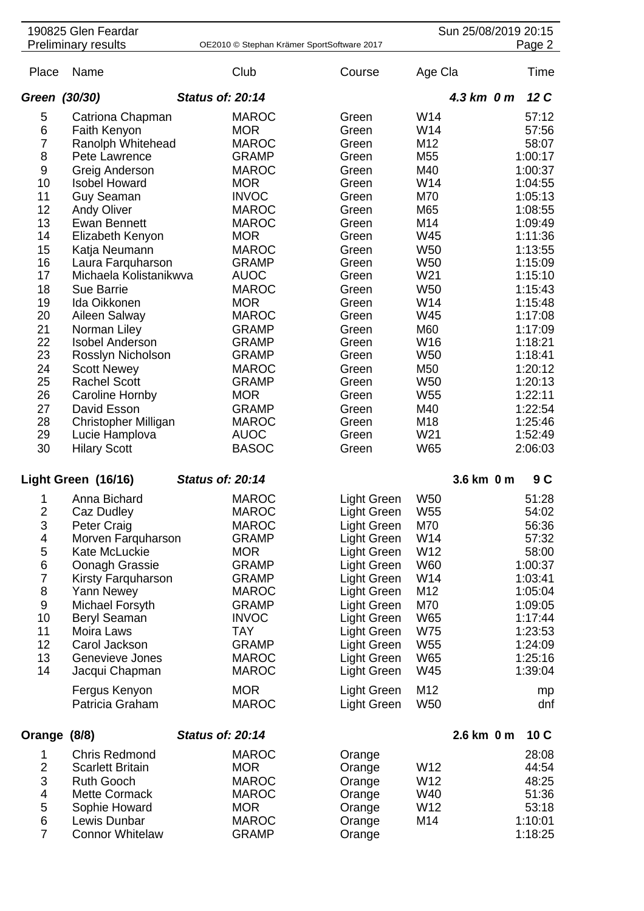|                  | 190825 Glen Feardar        |                         |                                            |                    |                 | Sun 25/08/2019 20:15 |         |
|------------------|----------------------------|-------------------------|--------------------------------------------|--------------------|-----------------|----------------------|---------|
|                  | <b>Preliminary results</b> |                         | OE2010 © Stephan Krämer SportSoftware 2017 |                    |                 |                      | Page 2  |
| Place            | Name                       |                         | Club                                       | Course             | Age Cla         |                      | Time    |
| Green (30/30)    |                            | <b>Status of: 20:14</b> |                                            |                    |                 | $4.3 \text{ km}$ 0 m | 12C     |
| 5                | Catriona Chapman           |                         | <b>MAROC</b>                               | Green              | W14             |                      | 57:12   |
| 6                | Faith Kenyon               |                         | <b>MOR</b>                                 | Green              | W14             |                      | 57:56   |
| $\overline{7}$   | Ranolph Whitehead          |                         | <b>MAROC</b>                               | Green              | M12             |                      | 58:07   |
| 8                | Pete Lawrence              |                         | <b>GRAMP</b>                               | Green              | M55             |                      | 1:00:17 |
| 9                | Greig Anderson             |                         | <b>MAROC</b>                               | Green              | M40             |                      | 1:00:37 |
| 10               | <b>Isobel Howard</b>       |                         | <b>MOR</b>                                 | Green              | W14             |                      | 1:04:55 |
|                  |                            |                         |                                            |                    |                 |                      |         |
| 11               | <b>Guy Seaman</b>          |                         | <b>INVOC</b>                               | Green              | M70             |                      | 1:05:13 |
| 12               | <b>Andy Oliver</b>         |                         | <b>MAROC</b>                               | Green              | M65             |                      | 1:08:55 |
| 13               | <b>Ewan Bennett</b>        |                         | <b>MAROC</b>                               | Green              | M14             |                      | 1:09:49 |
| 14               | Elizabeth Kenyon           |                         | <b>MOR</b>                                 | Green              | W45             |                      | 1:11:36 |
| 15               | Katja Neumann              |                         | <b>MAROC</b>                               | Green              | <b>W50</b>      |                      | 1:13:55 |
| 16               | Laura Farquharson          |                         | <b>GRAMP</b>                               | Green              | W <sub>50</sub> |                      | 1:15:09 |
| 17               | Michaela Kolistanikwva     |                         | <b>AUOC</b>                                | Green              | W21             |                      | 1:15:10 |
| 18               | Sue Barrie                 |                         | <b>MAROC</b>                               | Green              | <b>W50</b>      |                      | 1:15:43 |
| 19               | Ida Oikkonen               |                         | <b>MOR</b>                                 | Green              | W14             |                      | 1:15:48 |
| 20               | Aileen Salway              |                         | <b>MAROC</b>                               | Green              | W45             |                      | 1:17:08 |
| 21               | Norman Liley               |                         | <b>GRAMP</b>                               | Green              | M60             |                      | 1:17:09 |
| 22               | <b>Isobel Anderson</b>     |                         | <b>GRAMP</b>                               | Green              | W16             |                      | 1:18:21 |
| 23               | Rosslyn Nicholson          |                         | <b>GRAMP</b>                               | Green              | W <sub>50</sub> |                      | 1:18:41 |
|                  |                            |                         |                                            |                    |                 |                      |         |
| 24               | <b>Scott Newey</b>         |                         | <b>MAROC</b>                               | Green              | M50             |                      | 1:20:12 |
| 25               | <b>Rachel Scott</b>        |                         | <b>GRAMP</b>                               | Green              | W <sub>50</sub> |                      | 1:20:13 |
| 26               | <b>Caroline Hornby</b>     |                         | <b>MOR</b>                                 | Green              | W <sub>55</sub> |                      | 1:22:11 |
| 27               | David Esson                |                         | <b>GRAMP</b>                               | Green              | M40             |                      | 1:22:54 |
| 28               | Christopher Milligan       |                         | <b>MAROC</b>                               | Green              | M18             |                      | 1:25:46 |
| 29               | Lucie Hamplova             |                         | <b>AUOC</b>                                | Green              | W21             |                      | 1:52:49 |
| 30               | <b>Hilary Scott</b>        |                         | <b>BASOC</b>                               | Green              | W65             |                      | 2:06:03 |
|                  | Light Green (16/16)        | <b>Status of: 20:14</b> |                                            |                    |                 | 3.6 km 0 m           | 9 C     |
| 1                | Anna Bichard               |                         | <b>MAROC</b>                               | Light Green        | W50             |                      | 51:28   |
| 2                |                            |                         | MAROC                                      |                    | W55             |                      | 54:02   |
|                  | Caz Dudley                 |                         |                                            | Light Green        | M70             |                      |         |
| 3                | <b>Peter Craig</b>         |                         | <b>MAROC</b>                               | Light Green        |                 |                      | 56:36   |
| 4                | Morven Farquharson         |                         | <b>GRAMP</b>                               | <b>Light Green</b> | W14             |                      | 57:32   |
| 5                | Kate McLuckie              |                         | <b>MOR</b>                                 | Light Green        | W12             |                      | 58:00   |
| 6                | Oonagh Grassie             |                         | <b>GRAMP</b>                               | <b>Light Green</b> | W60             |                      | 1:00:37 |
| $\overline{7}$   | Kirsty Farquharson         |                         | <b>GRAMP</b>                               | Light Green        | W14             |                      | 1:03:41 |
| 8                | Yann Newey                 |                         | <b>MAROC</b>                               | Light Green        | M12             |                      | 1:05:04 |
| $\boldsymbol{9}$ | Michael Forsyth            |                         | <b>GRAMP</b>                               | Light Green        | M70             |                      | 1:09:05 |
| 10               | Beryl Seaman               |                         | <b>INVOC</b>                               | Light Green        | <b>W65</b>      |                      | 1:17:44 |
| 11               | Moira Laws                 |                         | <b>TAY</b>                                 | Light Green        | <b>W75</b>      |                      | 1:23:53 |
| 12               | Carol Jackson              |                         | <b>GRAMP</b>                               | Light Green        | <b>W55</b>      |                      | 1:24:09 |
| 13               | Genevieve Jones            |                         | <b>MAROC</b>                               | Light Green        | W65             |                      | 1:25:16 |
| 14               | Jacqui Chapman             |                         | <b>MAROC</b>                               | Light Green        | W45             |                      | 1:39:04 |
|                  | Fergus Kenyon              |                         | <b>MOR</b>                                 | Light Green        | M12             |                      | mp      |
|                  | Patricia Graham            |                         | <b>MAROC</b>                               | Light Green        | <b>W50</b>      |                      | dnf     |
| Orange (8/8)     |                            | <b>Status of: 20:14</b> |                                            |                    |                 | 2.6 km 0 m           | 10C     |
| 1                | <b>Chris Redmond</b>       |                         | <b>MAROC</b>                               | Orange             |                 |                      | 28:08   |
| $\overline{2}$   | <b>Scarlett Britain</b>    |                         | <b>MOR</b>                                 | Orange             | W12             |                      | 44:54   |
| 3                | <b>Ruth Gooch</b>          |                         | <b>MAROC</b>                               | Orange             | W12             |                      | 48:25   |
| 4                | <b>Mette Cormack</b>       |                         | <b>MAROC</b>                               | Orange             | W40             |                      | 51:36   |
| 5                | Sophie Howard              |                         | <b>MOR</b>                                 | Orange             | W12             |                      | 53:18   |
| $\,$ 6 $\,$      | Lewis Dunbar               |                         | <b>MAROC</b>                               | Orange             | M14             |                      | 1:10:01 |
| $\overline{7}$   | <b>Connor Whitelaw</b>     |                         | GRAMP                                      | Orange             |                 |                      | 1:18:25 |